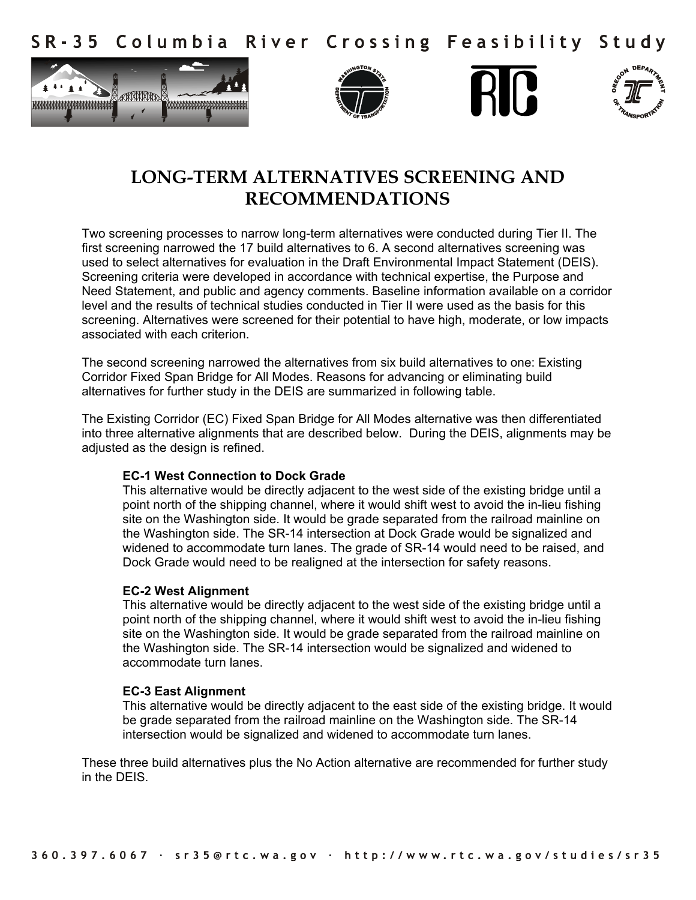Columbia River Crossing Feasibility Study S R - 3 5









# **LONG-TERM ALTERNATIVES SCREENING AND RECOMMENDATIONS**

Two screening processes to narrow long-term alternatives were conducted during Tier II. The first screening narrowed the 17 build alternatives to 6. A second alternatives screening was used to select alternatives for evaluation in the Draft Environmental Impact Statement (DEIS). Screening criteria were developed in accordance with technical expertise, the Purpose and Need Statement, and public and agency comments. Baseline information available on a corridor level and the results of technical studies conducted in Tier II were used as the basis for this screening. Alternatives were screened for their potential to have high, moderate, or low impacts associated with each criterion.

The second screening narrowed the alternatives from six build alternatives to one: Existing Corridor Fixed Span Bridge for All Modes. Reasons for advancing or eliminating build alternatives for further study in the DEIS are summarized in following table.

The Existing Corridor (EC) Fixed Span Bridge for All Modes alternative was then differentiated into three alternative alignments that are described below. During the DEIS, alignments may be adjusted as the design is refined.

#### **EC-1 West Connection to Dock Grade**

This alternative would be directly adjacent to the west side of the existing bridge until a point north of the shipping channel, where it would shift west to avoid the in-lieu fishing site on the Washington side. It would be grade separated from the railroad mainline on the Washington side. The SR-14 intersection at Dock Grade would be signalized and widened to accommodate turn lanes. The grade of SR-14 would need to be raised, and Dock Grade would need to be realigned at the intersection for safety reasons.

#### **EC-2 West Alignment**

This alternative would be directly adjacent to the west side of the existing bridge until a point north of the shipping channel, where it would shift west to avoid the in-lieu fishing site on the Washington side. It would be grade separated from the railroad mainline on the Washington side. The SR-14 intersection would be signalized and widened to accommodate turn lanes.

#### **EC-3 East Alignment**

This alternative would be directly adjacent to the east side of the existing bridge. It would be grade separated from the railroad mainline on the Washington side. The SR-14 intersection would be signalized and widened to accommodate turn lanes.

These three build alternatives plus the No Action alternative are recommended for further study in the DEIS.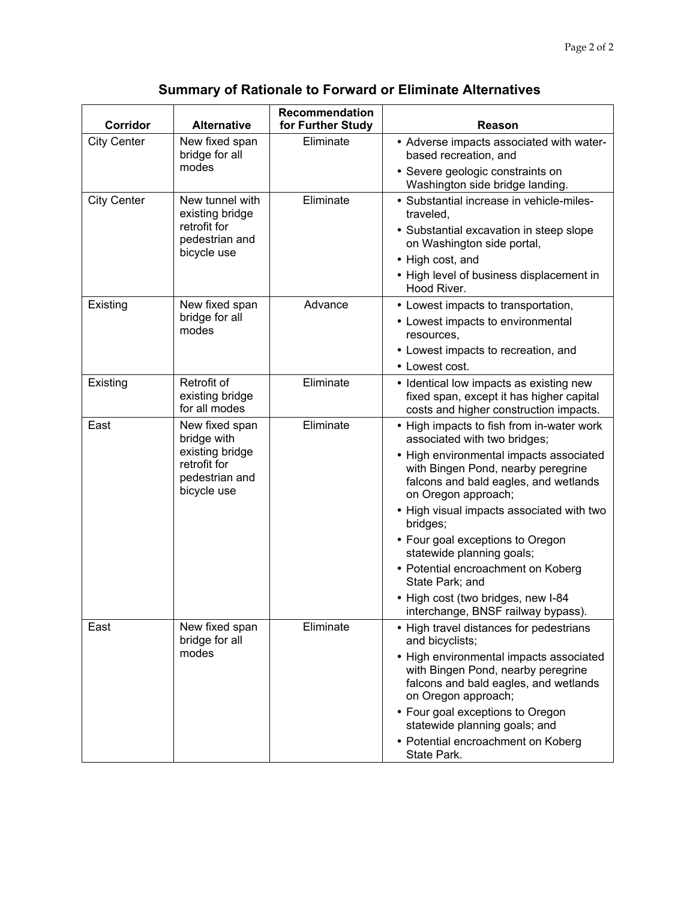## **Summary of Rationale to Forward or Eliminate Alternatives**

| Corridor           | <b>Alternative</b>                                                                                | Recommendation<br>for Further Study | Reason                                                                                                                                        |
|--------------------|---------------------------------------------------------------------------------------------------|-------------------------------------|-----------------------------------------------------------------------------------------------------------------------------------------------|
| <b>City Center</b> | New fixed span<br>bridge for all<br>modes                                                         | Eliminate                           | • Adverse impacts associated with water-<br>based recreation, and                                                                             |
|                    |                                                                                                   |                                     | • Severe geologic constraints on<br>Washington side bridge landing.                                                                           |
| <b>City Center</b> | New tunnel with<br>existing bridge<br>retrofit for<br>pedestrian and<br>bicycle use               | Eliminate                           | • Substantial increase in vehicle-miles-<br>traveled,                                                                                         |
|                    |                                                                                                   |                                     | • Substantial excavation in steep slope<br>on Washington side portal,                                                                         |
|                    |                                                                                                   |                                     | • High cost, and                                                                                                                              |
|                    |                                                                                                   |                                     | • High level of business displacement in<br>Hood River.                                                                                       |
| Existing           | New fixed span<br>bridge for all<br>modes                                                         | Advance                             | • Lowest impacts to transportation,                                                                                                           |
|                    |                                                                                                   |                                     | • Lowest impacts to environmental<br>resources.                                                                                               |
|                    |                                                                                                   |                                     | • Lowest impacts to recreation, and                                                                                                           |
|                    |                                                                                                   |                                     | • Lowest cost.                                                                                                                                |
| Existing           | Retrofit of<br>existing bridge<br>for all modes                                                   | Eliminate                           | • Identical low impacts as existing new<br>fixed span, except it has higher capital<br>costs and higher construction impacts.                 |
| East               | New fixed span<br>bridge with<br>existing bridge<br>retrofit for<br>pedestrian and<br>bicycle use | Eliminate                           | • High impacts to fish from in-water work<br>associated with two bridges;                                                                     |
|                    |                                                                                                   |                                     | • High environmental impacts associated<br>with Bingen Pond, nearby peregrine<br>falcons and bald eagles, and wetlands<br>on Oregon approach; |
|                    |                                                                                                   |                                     | • High visual impacts associated with two<br>bridges;                                                                                         |
|                    |                                                                                                   |                                     | • Four goal exceptions to Oregon<br>statewide planning goals;                                                                                 |
|                    |                                                                                                   |                                     | • Potential encroachment on Koberg<br>State Park; and                                                                                         |
|                    |                                                                                                   |                                     | • High cost (two bridges, new I-84<br>interchange, BNSF railway bypass).                                                                      |
| East               | New fixed span<br>bridge for all<br>modes                                                         | Eliminate                           | • High travel distances for pedestrians<br>and bicyclists;                                                                                    |
|                    |                                                                                                   |                                     | • High environmental impacts associated<br>with Bingen Pond, nearby peregrine<br>falcons and bald eagles, and wetlands<br>on Oregon approach; |
|                    |                                                                                                   |                                     | • Four goal exceptions to Oregon<br>statewide planning goals; and                                                                             |
|                    |                                                                                                   |                                     | • Potential encroachment on Koberg<br>State Park.                                                                                             |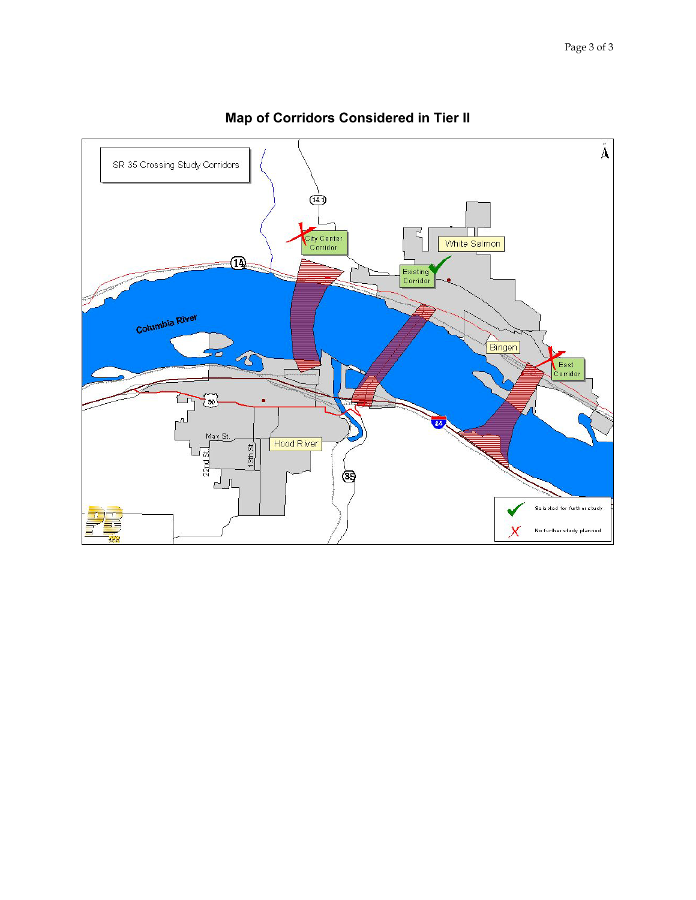

### **Map of Corridors Considered in Tier II**